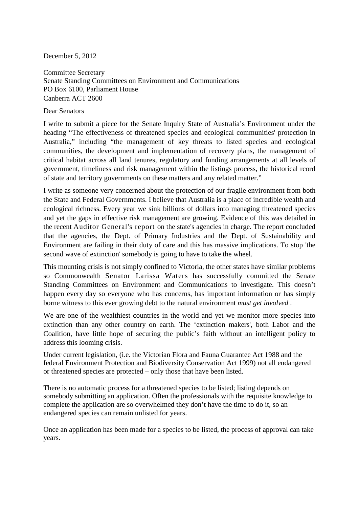December 5, 2012

Committee Secretary Senate Standing Committees on Environment and Communications PO Box 6100, Parliament House Canberra ACT 2600

Dear Senators

I write to submit a piece for the Senate Inquiry State of Australia's Environment under the heading "The effectiveness of threatened species and ecological communities' protection in Australia," including "the management of key threats to listed species and ecological communities, the development and implementation of recovery plans, the management of critical habitat across all land tenures, regulatory and funding arrangements at all levels of government, timeliness and risk management within the listings process, the historical rcord of state and territory governments on these matters and any related matter."

I write as someone very concerned about the protection of our fragile environment from both the State and Federal Governments. I believe that Australia is a place of incredible wealth and ecological richness. Every year we sink billions of dollars into managing threatened species and yet the gaps in effective risk management are growing. Evidence of this was detailed in the recent [Auditor General's report](http://myenvironment.us2.list-manage.com/track/click?u=6927d3e0e362818c9fb02cfa8&id=e614f10a56&e=a46a8f987a) on the state's agencies in charge. The report concluded that the agencies, the Dept. of Primary Industries and the Dept. of Sustainability and Environment are failing in their duty of care and this has massive implications. To stop 'the second wave of extinction' somebody is going to have to take the wheel.

This mounting crisis is not simply confined to Victoria, the other states have similar problems so Commonwealth [Senator Larissa Waters](http://greens.org.au/people/larissa-waters) has successfully committed the Senate Standing Committees on Environment and Communications to investigate. This doesn't happen every day so everyone who has concerns, has important information or has simply borne witness to this ever growing debt to the natural environment *must get involved* .

We are one of the wealthiest countries in the world and yet we monitor more species into extinction than any other country on earth. The 'extinction makers', both Labor and the Coalition, have little hope of securing the public's faith without an intelligent policy to address this looming crisis.

Under current legislation, (i.e. the Victorian Flora and Fauna Guarantee Act 1988 and the federal Environment Protection and Biodiversity Conservation Act 1999) not all endangered or threatened species are protected – only those that have been listed.

There is no automatic process for a threatened species to be listed; listing depends on somebody submitting an application. Often the professionals with the requisite knowledge to complete the application are so overwhelmed they don't have the time to do it, so an endangered species can remain unlisted for years.

Once an application has been made for a species to be listed, the process of approval can take years.